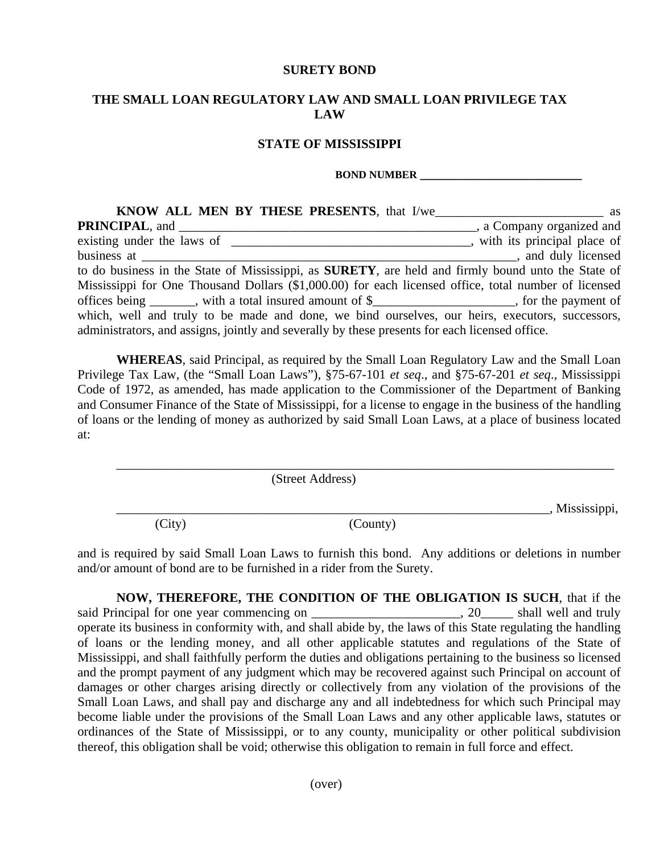## **SURETY BOND**

## **THE SMALL LOAN REGULATORY LAW AND SMALL LOAN PRIVILEGE TAX LAW**

## **STATE OF MISSISSIPPI**

## **BOND NUMBER**

| a Company organized and<br><b>PRINCIPAL, and</b>                                                           |
|------------------------------------------------------------------------------------------------------------|
|                                                                                                            |
| business at<br>and duly licensed                                                                           |
| to do business in the State of Mississippi, as <b>SURETY</b> , are held and firmly bound unto the State of |
| Mississippi for One Thousand Dollars (\$1,000.00) for each licensed office, total number of licensed       |
| offices being _______, with a total insured amount of \$_________________, for the payment of              |
| which, well and truly to be made and done, we bind ourselves, our heirs, executors, successors,            |
| administrators, and assigns, jointly and severally by these presents for each licensed office.             |

**WHEREAS**, said Principal, as required by the Small Loan Regulatory Law and the Small Loan Privilege Tax Law, (the "Small Loan Laws"), §75-67-101 *et seq*., and §75-67-201 *et seq*., Mississippi Code of 1972, as amended, has made application to the Commissioner of the Department of Banking and Consumer Finance of the State of Mississippi, for a license to engage in the business of the handling of loans or the lending of money as authorized by said Small Loan Laws, at a place of business located at:

\_\_\_\_\_\_\_\_\_\_\_\_\_\_\_\_\_\_\_\_\_\_\_\_\_\_\_\_\_\_\_\_\_\_\_\_\_\_\_\_\_\_\_\_\_\_\_\_\_\_\_\_\_\_\_\_\_\_\_\_\_\_\_\_\_\_\_\_\_\_\_\_\_\_\_\_\_ (Street Address)  $\Box$ , Mississippi, (City) (County)

and is required by said Small Loan Laws to furnish this bond. Any additions or deletions in number and/or amount of bond are to be furnished in a rider from the Surety.

**NOW, THEREFORE, THE CONDITION OF THE OBLIGATION IS SUCH**, that if the said Principal for one year commencing on \_\_\_\_\_\_\_\_\_\_\_\_\_\_\_\_\_\_\_\_\_\_, 20\_\_\_\_\_\_ shall well and truly operate its business in conformity with, and shall abide by, the laws of this State regulating the handling of loans or the lending money, and all other applicable statutes and regulations of the State of Mississippi, and shall faithfully perform the duties and obligations pertaining to the business so licensed and the prompt payment of any judgment which may be recovered against such Principal on account of damages or other charges arising directly or collectively from any violation of the provisions of the Small Loan Laws, and shall pay and discharge any and all indebtedness for which such Principal may become liable under the provisions of the Small Loan Laws and any other applicable laws, statutes or ordinances of the State of Mississippi, or to any county, municipality or other political subdivision thereof, this obligation shall be void; otherwise this obligation to remain in full force and effect.